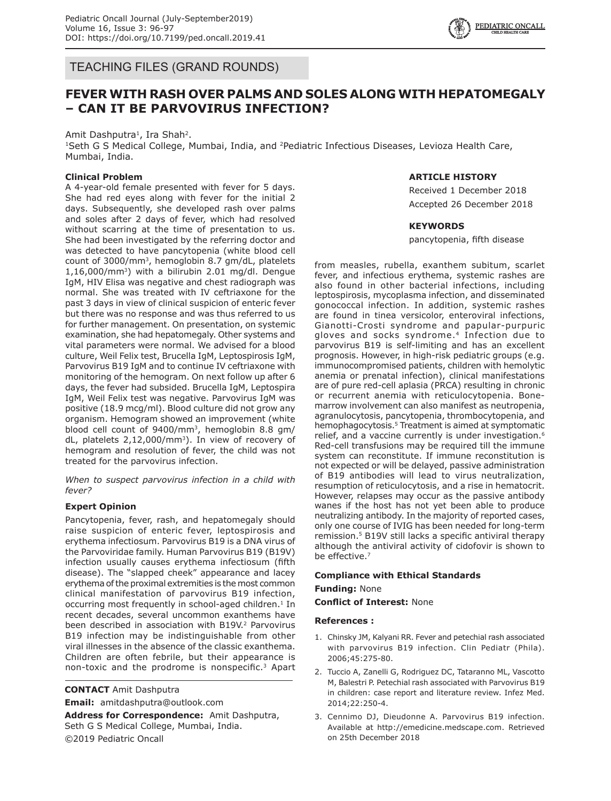

TEACHING FILES (GRAND ROUNDS)

# **FEVER WITH RASH OVER PALMS AND SOLES ALONG WITH HEPATOMEGALY – CAN IT BE PARVOVIRUS INFECTION?**

Amit Dashputra<sup>1</sup>, Ira Shah<sup>2</sup>.

<sup>1</sup>Seth G S Medical College, Mumbai, India, and <sup>2</sup>Pediatric Infectious Diseases, Levioza Health Care, Mumbai, India.

## **Clinical Problem**

A 4-year-old female presented with fever for 5 days. She had red eyes along with fever for the initial 2 days. Subsequently, she developed rash over palms and soles after 2 days of fever, which had resolved without scarring at the time of presentation to us. She had been investigated by the referring doctor and was detected to have pancytopenia (white blood cell count of 3000/mm3, hemoglobin 8.7 gm/dL, platelets  $1,16,000/mm^3$ ) with a bilirubin 2.01 mg/dl. Dengue IgM, HIV Elisa was negative and chest radiograph was normal. She was treated with IV ceftriaxone for the past 3 days in view of clinical suspicion of enteric fever but there was no response and was thus referred to us for further management. On presentation, on systemic examination, she had hepatomegaly. Other systems and vital parameters were normal. We advised for a blood culture, Weil Felix test, Brucella IgM, Leptospirosis IgM, Parvovirus B19 IgM and to continue IV ceftriaxone with monitoring of the hemogram. On next follow up after 6 days, the fever had subsided. Brucella IgM, Leptospira IgM, Weil Felix test was negative. Parvovirus IgM was positive (18.9 mcg/ml). Blood culture did not grow any organism. Hemogram showed an improvement (white blood cell count of 9400/mm3, hemoglobin 8.8 gm/ dL, platelets 2,12,000/mm<sup>3</sup>). In view of recovery of hemogram and resolution of fever, the child was not treated for the parvovirus infection.

*When to suspect parvovirus infection in a child with fever?*

#### **Expert Opinion**

Pancytopenia, fever, rash, and hepatomegaly should raise suspicion of enteric fever, leptospirosis and erythema infectiosum. Parvovirus B19 is a DNA virus of the Parvoviridae family. Human Parvovirus B19 (B19V) infection usually causes erythema infectiosum (fifth disease). The "slapped cheek" appearance and lacey erythema of the proximal extremities is the most common clinical manifestation of parvovirus B19 infection, occurring most frequently in school-aged children.<sup>1</sup> In recent decades, several uncommon exanthems have been described in association with B19V.<sup>2</sup> Parvovirus B19 infection may be indistinguishable from other viral illnesses in the absence of the classic exanthema. Children are often febrile, but their appearance is non-toxic and the prodrome is nonspecific.3 Apart

**CONTACT** Amit Dashputra **Email:** amitdashputra@outlook.com

**Address for Correspondence:** Amit Dashputra, Seth G S Medical College, Mumbai, India. ©2019 Pediatric Oncall

### **ARTICLE HISTORY**

Received 1 December 2018 Accepted 26 December 2018

#### **KEYWORDS**

pancytopenia, fifth disease

from measles, rubella, exanthem subitum, scarlet fever, and infectious erythema, systemic rashes are also found in other bacterial infections, including leptospirosis, mycoplasma infection, and disseminated gonococcal infection. In addition, systemic rashes are found in tinea versicolor, enteroviral infections, Gianotti-Crosti syndrome and papular-purpuric gloves and socks syndrome.4 Infection due to parvovirus B19 is self-limiting and has an excellent prognosis. However, in high-risk pediatric groups (e.g. immunocompromised patients, children with hemolytic anemia or prenatal infection), clinical manifestations are of pure red-cell aplasia (PRCA) resulting in chronic or recurrent anemia with reticulocytopenia. Bonemarrow involvement can also manifest as neutropenia, agranulocytosis, pancytopenia, thrombocytopenia, and hemophagocytosis.<sup>5</sup> Treatment is aimed at symptomatic relief, and a vaccine currently is under investigation.<sup>6</sup> Red-cell transfusions may be required till the immune system can reconstitute. If immune reconstitution is not expected or will be delayed, passive administration of B19 antibodies will lead to virus neutralization, resumption of reticulocytosis, and a rise in hematocrit. However, relapses may occur as the passive antibody wanes if the host has not yet been able to produce neutralizing antibody. In the majority of reported cases, only one course of IVIG has been needed for long-term remission.<sup>5</sup> B19V still lacks a specific antiviral therapy although the antiviral activity of cidofovir is shown to be effective.<sup>7</sup>

#### **Compliance with Ethical Standards**

#### **Funding:** None

**Conflict of Interest:** None

#### **References :**

- 1. Chinsky JM, Kalyani RR. Fever and petechial rash associated with parvovirus B19 infection. Clin Pediatr (Phila). 2006;45:275-80.
- 2. Tuccio A, Zanelli G, Rodriguez DC, Tataranno ML, Vascotto M, Balestri P. Petechial rash associated with Parvovirus B19 in children: case report and literature review. Infez Med. 2014;22:250-4.
- 3. Cennimo DJ, Dieudonne A. Parvovirus B19 infection. Available at http://emedicine.medscape.com. Retrieved on 25th December 2018